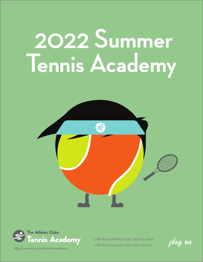# 2022 **Summer Tennis Academy**





http://www.lrac.com/tennis/academy

play on Lile Rock Athletic Club | 501-225-3600 Lile Rock Racquet Club | 501-225-5711

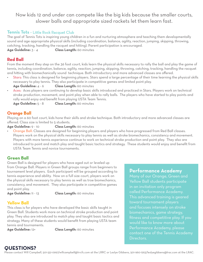# Now kids 12 and under can compete like the big kids because the smaller courts, slower balls and appropriate sized rackets let them learn fast.

#### **Tennis Tots** - Little Rock Racquet Club

The goal of Tennis Tots is inspiring young children in a fun and nurturing atmosphere and teaching them developmentally sound and age appropriate physical skills (including coordination, balance, agility, reaction, jumping, skipping, throwing, catching, tracking, handling the racquet and hitting). Parent participation is encouraged.

**Age Guideline:** 3 - 4 **Class Length:** 60 minutes

#### **Red Ball**

From the moment they step on the 36 foot court, kids learn the physical skills necessary to rally the ball and play the game of tennis, including coordination, balance, agility, reaction, jumping, skipping, throwing, catching, tracking, handling the racquet and hitting with biomechanically sound technique. Both introductory and more advanced classes are offered.

Stars: This class is designed for beginning players. Stars spend a large percentage of their time learning the physical skills necessary to play tennis. They also participate in competitive games and limited point play.

**Age Guideline:** 4 - 6 **Class Length:** 60 minutes

Aces: Aces players are continuing to develop basic skills introduced and practiced in Stars. Players work on technical stroke production, movement, and point play when able to rally balls. The players who have started to play points and rally would enjoy and benefit from playing USTA Team Tennis.

**Age Guideline:** 5 - 8 **Class Length:** 60 minutes

#### **Orange Ball**

Playing on a 60 foot court, kids hone their skills and stroke technique. Both introductory and more advanced classes are offered. Class size is limited to 5 students.

**Age Guideline:** 9 - 10 **Class Length:** 60 minutes

• Orange Ball: Classes are designed for beginning players and players who have progressed from Red Ball classes. Players work on the physical skills necessary to play tennis as well as stroke biomechanics, consistency and movement. Players with more tennis experience continue to work on technical stroke production and point play. They also are introduced to point and match play and taught basic tactics and strategy. These students would enjoy and benefit from USTA Team Tennis and novice tournaments.

#### **Green Ball**

Green Ball is designed for players who have aged out or leveled up from Orange Ball. Players in Green Ball groups range from beginners to tournament level players. Each participant will be grouped according to tennis experience and ability. Now on a full size court, players work on the physical skills necessary to play tennis as well as troe biomechanics, consistency, and movement. They also participate in competitive games and point play.

**Age Guideline:** 11 - 13 **Class Length:** 60 minutes

#### **Yellow Ball**

This class is for players who have developed the basic skills taught in Green Ball. Students work more on technical stroke production and point play. They also are introduced to match play and taught basic tactics and strategy. Many of these students would benefit from playing USTA team tennis and tournaments.

**Age Guideline:** 12+ **Class Length:** 60 minutes

#### **Performance Academy**

Many of our Orange, Green and Yellow Ball students participate in an invitation only program called Performance Academy. This advanced training is geared toward tournament players and focuses intensely on stroke biomechanics, game strategy, fitness and competitive play. If you would like to know more about Performance Academy, please contact one of the Tennis Academy Directors.

### **QUESTIONS?**

Please contact Will Campbell, 501-551-0997/willcampbell@lrrcfc.com at the LRRC or Leslye Gibbens, 501-960-1263/leslyegibbens@lrac.com at the LRAC.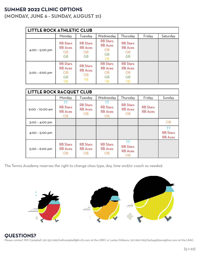# **SUMMER 2022 CLINIC OPTIONS**

**(MONDAY, JUNE 6 - SUNDAY, AUGUST 21)**

| <b>LITTLE ROCK ATHLETIC CLUB</b> |                                                                   |                                                                                                                                   |                                                                          |                                                                   |        |          |  |
|----------------------------------|-------------------------------------------------------------------|-----------------------------------------------------------------------------------------------------------------------------------|--------------------------------------------------------------------------|-------------------------------------------------------------------|--------|----------|--|
|                                  | Monday                                                            | Tuesday                                                                                                                           | Wednesday                                                                | Thursday                                                          | Friday | Saturday |  |
| 4:00 - 5:00 pm                   | <b>RB</b> Stars<br><b>RB</b> Aces<br>OB.<br><b>GB</b>             | <b>RB</b> Stars<br><b>RB</b> Aces<br><b>OB</b><br><b>GB</b>                                                                       | <b>RB</b> Stars<br><b>RB</b> Aces<br><b>OB</b><br><b>GB</b><br><b>YB</b> | <b>RB</b> Stars<br><b>RB</b> Aces<br>OB<br><b>GB</b>              |        |          |  |
| 5:00 - 6:00 pm                   | <b>RB</b> Stars<br><b>RB</b> Aces<br>OB<br><b>GB</b><br><b>YB</b> | <b>RB</b> Stars<br><b>RB</b> Stars<br><b>RB</b> Aces<br><b>RB</b> Aces<br><b>OB</b><br>OB.<br><b>GB</b><br><b>YB</b><br><b>YB</b> |                                                                          | <b>RB</b> Stars<br><b>RB</b> Aces<br>OB<br><b>GB</b><br><b>YB</b> |        |          |  |

| <b>LITTLE ROCK RACQUET CLUB</b> |                                                |                                                |                                                      |                                                |                                   |                                                |
|---------------------------------|------------------------------------------------|------------------------------------------------|------------------------------------------------------|------------------------------------------------|-----------------------------------|------------------------------------------------|
|                                 | Monday                                         | Tuesday                                        | Wednesday                                            | Thursday                                       | Friday                            | Sunday                                         |
| 9:00 - 10:00 am                 | TT<br><b>RB</b> Stars<br><b>RB</b> Aces<br>OB  | <b>RB</b> Stars<br><b>RB</b> Aces<br><b>OB</b> | ТT<br><b>RB</b> Stars<br><b>RB</b> Aces<br><b>OB</b> | <b>RB</b> Stars<br><b>RB</b> Aces<br><b>OB</b> | <b>RB</b> Stars<br><b>RB</b> Aces |                                                |
| 3:00 - 4:00 pm                  |                                                |                                                |                                                      |                                                |                                   | OB                                             |
| 4:00 - 5:00 pm                  |                                                |                                                |                                                      |                                                |                                   | <b>TT</b><br><b>RB</b> Stars<br><b>RB</b> Aces |
| $5:00 - 6:00$ pm                | <b>RB</b> Stars<br><b>RB</b> Aces<br><b>OB</b> | <b>RB</b> Stars<br><b>RB</b> Aces<br><b>OB</b> | <b>RB</b> Stars<br><b>RB</b> Aces<br>OB              | ТT<br><b>RB</b> Stars<br><b>RB</b> Aces<br>OB  |                                   |                                                |

The Tennis Academy reserves the right to change class type, day, time and/or coach as needed.



#### **QUESTIONS?**

Please contact Will Campbell, 501-551-0997/willcampbell@lrrcfc.com at the LRRC or Leslye Gibbens, 501-960-1263/leslyegibbens@lrac.com at the LRAC.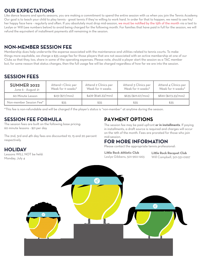# **OUR EXPECTATIONS**

Like dance lessons and sports seasons, you are making a commitment to spend the entire session with us when you join the Tennis Academy. Our goal is to teach your child to play tennis - great tennis if they're willing to work hard. In order for that to happen, we need to see his/ her happy face here - regularly and often. If you absolutely must drop mid-session, we must be notified by the 15th of the month via a text to Leslye or Will (see numbers below) to avoid being charged for the following month. For families that have paid in full for the session, we will refund the equivalent of installment payments still remaining in the session.

# **NON-MEMBER SESSION FEE**

Membership dues help underwrite the expense associated with the maintenance and utilities related to tennis courts. To make things more equitable, we charge a \$35 usage fee for those players that are not associated with an active membership at one of our Clubs so that they, too, share in some of the operating expenses. Please note, should a player start the session as a TAC member but, for some reason that status changes, then the full usage fee will be charged regardless of how far we are into the session.

# **SESSION FEES**

| <b>SUMMER 2022</b><br>June 6 - August 21 | Attend 1 Clinic per<br>Week for 11 weeks* | Attend 2 Clinics per<br>Week for 11 weeks | Attend 3 Clinics per<br>Week for 11 weeks* | Attend 4 Clinics per<br>Week for 11 weeks* |
|------------------------------------------|-------------------------------------------|-------------------------------------------|--------------------------------------------|--------------------------------------------|
| 60 Minute Lesson                         | $$231$ (\$77/mos)                         | \$439 (\$146.33/mol)                      | \$635 (\$211.67/mos)                       | \$820 (\$273.33/mol)                       |
| Non-member Session Fee*                  | \$35                                      | \$35                                      | \$35                                       | \$35                                       |

\*This fee is non-refundable and will be charged if the player's status is "non-member" at anytime during the season.

## **SESSION FEE FORMULA**

The session fees are built on the following base pricing: 60 minute lessons - \$21 per day

The 2nd, 3rd and 4th day fees are discounted 10, 15 and 20 percent respectively.

# **PAYMENT OPTIONS**

The session fee may be paid upfront **or in installments**. If paying in installments, a draft source is required and charges will occur on the 12th of the month. Fees are prorated for those who join mid-session.

#### **FOR MORE INFORMATION**

Please contact the appropriate tennis professional:

Little Rock Athletic Club<br>
Little Rock Club Leslye Gibbens, 501-960-1263 Will Campbell, 501-551-0997



# **HOLIDAY**

Lessons WILL NOT be held: Monday, July 4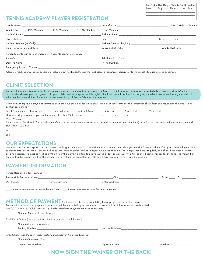**For Office Use Only - Child Is Confirmed In: Level Day Time Location \_\_\_\_\_\_\_\_\_\_\_\_\_\_\_\_\_\_\_\_\_\_\_\_\_\_\_\_\_\_\_\_\_\_\_\_\_\_\_\_\_\_\_\_\_\_\_\_\_\_\_\_\_\_\_\_\_\_\_\_\_\_\_\_\_ \_\_\_\_\_\_\_\_\_\_\_\_\_\_\_\_\_\_\_\_\_\_\_\_\_\_\_\_\_\_\_\_\_\_\_\_\_\_\_\_\_\_\_\_\_\_\_\_\_\_\_\_\_\_\_\_\_\_\_\_\_\_\_\_\_ \_\_\_\_\_\_\_\_\_\_\_\_\_\_\_\_\_\_\_\_\_\_\_\_\_\_\_\_\_\_\_\_\_\_\_\_\_\_\_\_\_\_\_\_\_\_\_\_\_\_\_\_\_\_\_\_\_\_\_\_\_\_\_\_\_**

# **TENNIS ACADEMY PLAYER REGISTRATION**

|                                                                                                                                                                    |                                                                                                                                                                                                                               | Female<br>Sex: Male                |
|--------------------------------------------------------------------------------------------------------------------------------------------------------------------|-------------------------------------------------------------------------------------------------------------------------------------------------------------------------------------------------------------------------------|------------------------------------|
| Child is an: _______LRAC Member _______LRRC Member ______NLRAC Member ______Non-Member                                                                             |                                                                                                                                                                                                                               |                                    |
|                                                                                                                                                                    |                                                                                                                                                                                                                               |                                    |
|                                                                                                                                                                    |                                                                                                                                                                                                                               | State: ________ Zip: _____________ |
|                                                                                                                                                                    |                                                                                                                                                                                                                               |                                    |
|                                                                                                                                                                    |                                                                                                                                                                                                                               |                                    |
|                                                                                                                                                                    |                                                                                                                                                                                                                               |                                    |
|                                                                                                                                                                    |                                                                                                                                                                                                                               |                                    |
|                                                                                                                                                                    | Phone Number: The contract of the contract of the contract of the contract of the contract of the contract of the contract of the contract of the contract of the contract of the contract of the contract of the contract of |                                    |
|                                                                                                                                                                    |                                                                                                                                                                                                                               |                                    |
| Allergies, medications, special conditions including but not limited to asthma, digbetes, sun sensitivity, seizures or fainting spells (please provide specifics): |                                                                                                                                                                                                                               |                                    |

## **CLINIC SELECTION**

Parents, if your child is new to the Academy, please review our class descriptions on the Sized to Fit information piece or on our website (www.lrac.com/tennis/junioracademy) and make your best guess as to your child's level for purposes of this registration form. We will confirm (or change) your selection after evaluating your child. To schedule the day and time of your child's free evaluation, call Leslye Gibbens at 501-960-1263.

\_\_\_\_\_\_\_\_\_\_\_\_\_\_\_\_\_\_\_\_\_\_\_\_\_\_\_\_\_\_\_\_\_\_\_\_\_\_\_\_\_\_\_\_\_\_\_\_\_\_\_\_\_\_\_\_\_\_\_\_\_\_\_\_\_\_\_\_\_\_\_\_\_\_\_\_\_\_\_\_\_\_\_\_\_\_\_\_\_\_\_\_\_\_\_\_\_\_\_\_\_\_\_\_\_\_\_\_\_\_\_\_\_\_\_\_\_\_\_\_\_\_\_\_\_\_\_\_\_\_\_\_\_\_\_\_\_\_\_\_\_\_\_\_\_\_\_\_\_\_\_\_\_\_\_\_\_\_\_\_\_\_\_\_\_\_\_\_\_\_\_\_\_\_\_\_\_\_\_\_\_\_\_\_\_\_\_\_\_\_\_\_\_\_\_\_\_\_\_\_\_\_\_\_\_\_\_\_\_\_\_\_\_\_\_\_\_\_\_\_\_\_\_\_\_\_\_\_\_\_\_\_\_\_\_\_\_\_\_\_\_\_\_\_\_\_\_\_\_\_\_\_\_\_\_\_\_\_\_\_\_\_\_\_\_\_\_\_\_\_\_\_\_\_\_\_\_\_\_\_\_

For maximum improvement, we recommend enrolling your child in at least two clinics a week. Please complete the remainder of this form and return it to the club. We will confirm enrollment.

| Level: (circle one)   Tennis Tots | Red Ball Stars                                                               | Red Ball Aces | Orange Ball | Green Ball | Yellow Ball |
|-----------------------------------|------------------------------------------------------------------------------|---------------|-------------|------------|-------------|
|                                   | How many days a week do you want your child to attend? (circle one)   1    2 |               |             |            |             |

#### Clinic Choices

Please refer to Sized to Fit for the schedule of classes and indicate your preferences (as well as any notes you may have) here. Be sure and include day of week, time and club. PRINT LEGIBLY!

1st \_\_\_\_\_\_\_\_\_\_\_\_\_\_\_\_\_\_\_\_\_\_\_\_\_\_\_\_\_\_\_\_\_\_\_\_\_\_\_\_\_\_\_\_\_\_\_\_\_\_\_\_\_\_\_\_\_\_\_\_\_\_\_\_\_\_\_\_\_\_\_\_\_\_\_\_\_\_\_\_\_\_\_\_\_\_\_\_\_\_\_\_\_\_\_\_\_\_\_\_\_\_\_\_\_\_\_\_\_\_\_\_\_\_\_\_\_\_\_\_\_\_\_\_\_\_\_\_\_\_\_\_\_\_\_\_\_\_\_\_\_\_\_\_\_\_\_\_\_\_\_\_\_\_\_\_\_\_\_\_\_\_\_\_\_\_\_\_\_\_\_\_\_\_\_\_\_\_\_\_\_\_\_\_\_\_\_\_\_\_\_\_\_\_\_\_\_\_\_\_\_\_\_\_\_\_\_\_\_\_\_\_\_\_\_\_\_\_\_\_\_\_\_\_\_\_\_\_\_\_\_\_\_\_\_\_\_\_\_\_\_\_\_\_\_\_\_\_\_\_\_\_\_\_\_\_\_\_\_\_\_\_\_\_\_\_\_\_\_\_\_\_\_\_\_\_

2nd \_\_\_\_\_\_\_\_\_\_\_\_\_\_\_\_\_\_\_\_\_\_\_\_\_\_\_\_\_\_\_\_\_\_\_\_\_\_\_\_\_\_\_\_\_\_\_\_\_\_\_\_\_\_\_\_\_\_\_\_\_\_\_\_\_\_\_\_\_\_\_\_\_\_\_\_\_\_\_\_\_\_\_\_\_\_\_\_\_\_\_\_\_\_\_\_\_\_\_\_\_\_\_\_\_\_\_\_\_\_\_\_\_\_\_\_\_\_\_\_\_\_\_\_\_\_\_\_\_\_\_\_\_\_\_\_\_\_\_\_\_\_\_\_\_\_\_\_\_\_\_\_\_\_\_\_\_\_\_\_\_\_\_\_\_\_\_\_\_\_\_\_\_\_\_\_\_\_\_\_\_\_\_\_\_\_\_\_\_\_\_\_\_\_\_\_\_\_\_\_\_\_\_\_\_\_\_\_\_\_\_\_\_\_\_\_\_\_\_\_\_\_\_\_\_\_\_\_\_\_\_\_\_\_\_\_\_\_\_\_\_\_\_\_\_\_\_\_\_\_\_\_\_\_\_\_\_\_\_\_\_\_\_\_\_\_\_\_\_\_\_\_\_\_

#### **OUR EXPECTATIONS**

Like dance lessons and sports seasons, you are making a commitment to spend the entire session with us when you join the Tennis Academy. Our goal is to teach your child to play tennis - great tennis if they're willing to work hard. In order for that to happen, we need to see his/her happy face here - regularly and often. If you absolutely must drop mid-session, we must be notified by the 15th of the month via a text to Leslye (501-960-1263) or Will (501-551-0997) to avoid being charged for the following month. For families that have paid in full for the session, we will refund the equivalent of installment payments still remaining in the session.

# **PAYMENT INFORMATION**

| I want to pay my entire session fee up front. _____I want to pay my session fee in installments. |                                                                                                                                                                                                                                |  |
|--------------------------------------------------------------------------------------------------|--------------------------------------------------------------------------------------------------------------------------------------------------------------------------------------------------------------------------------|--|
| LRAC/LRRC/NLRAC Club Account Option (for members only/account must be current)                   | METHOD OF PAYMENT (Indicate your choice by completing the appropriate information below):<br>For security reasons, your payment information will be encrypted by our computer software and this information will be shredded.  |  |
|                                                                                                  |                                                                                                                                                                                                                                |  |
| Bank Draft Option (attach a voided check or complete the following)                              |                                                                                                                                                                                                                                |  |
|                                                                                                  |                                                                                                                                                                                                                                |  |
|                                                                                                  |                                                                                                                                                                                                                                |  |
| Credit/Debit Card Option (Visa, MasterCard, Discover, American Express)                          |                                                                                                                                                                                                                                |  |
|                                                                                                  |                                                                                                                                                                                                                                |  |
|                                                                                                  | Credit Card Number: Card Number: Card Number: Card Number: CCV Number: CCV Number: CCV Number: CCV Number: CCV Number: CCV Number: CCV Number: CCV Number: CCV Number: CCV Number: CCV Number: CCV Number: CCV Number: CCV Num |  |
|                                                                                                  | <b>W SIGN THE WAIVER ON THE BACK!</b>                                                                                                                                                                                          |  |